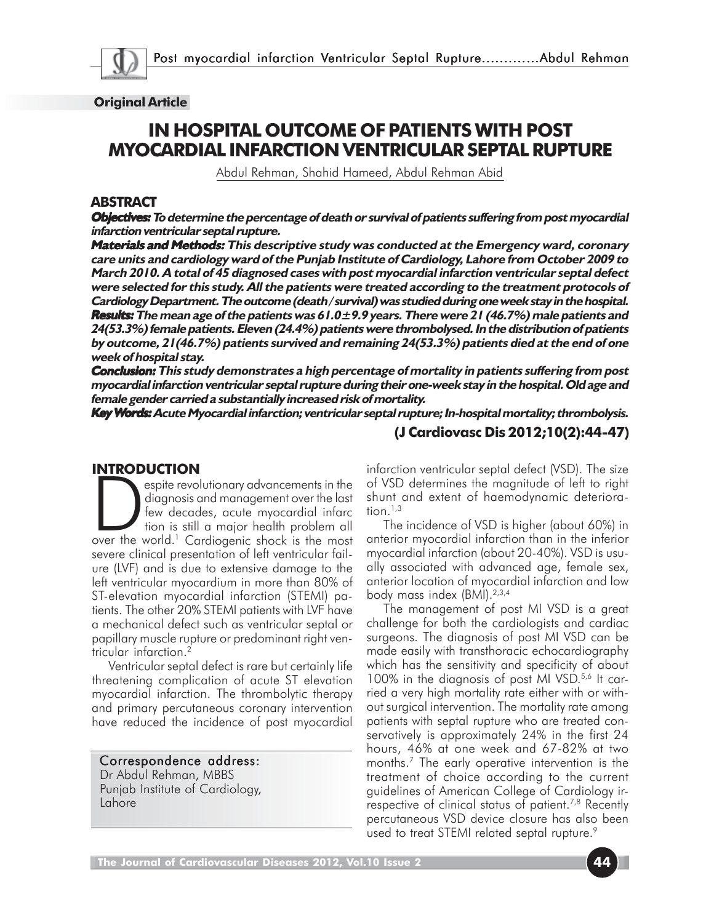

#### **Original Article**

# **IN HOSPITAL OUTCOME OF PATIENTS WITH POST MYOCARDIAL INFARCTION VENTRICULAR SEPTAL RUPTURE**

Abdul Rehman, Shahid Hameed, Abdul Rehman Abid

#### **ABSTRACT**

**Objectives: Objectives: To determine the percentage of death or survival of patients suffering from post myocardial Objectives: infarction ventricular septal rupture.**

**Materials and Methods: Materials Methods: This descriptive study was conducted at the Emergency ward, coronary Materials care units and cardiology ward of the Punjab Institute of Cardiology, Lahore from October 2009 to March 2010. A total of 45 diagnosed cases with post myocardial infarction ventricular septal defect were selected for this study. All the patients were treated according to the treatment protocols of Cardiology Department. The outcome (death / survival) was studied during one week stay in the hospital. Results: Results: The mean age of the patients was 61.0±9.9 years. There were 21 (46.7%) male patients and Results: 24(53.3%) female patients. Eleven (24.4%) patients were thrombolysed. In the distribution of patients by outcome, 21(46.7%) patients survived and remaining 24(53.3%) patients died at the end of one week of hospital stay.**

**Conclusion: Conclusion: This study demonstrates a high percentage of mortality in patients suffering from post myocardial infarction ventricular septal rupture during their one-week stay in the hospital. Old age and female gender carried a substantially increased risk of mortality.**

**Key Words: Acute Myocardial infarction; ventricular septal rupture; In-hospital mortality; thrombolysis. ords:**

#### **(J Cardiovasc Dis 2012;10(2):44-47)**

#### **INTRODUCTION**

espite revolutionary advancements in the<br>diagnosis and management over the last<br>few decades, acute myocardial infarc<br>tion is still a major health problem all<br>over the world.<sup>1</sup> Cardiogenic shock is the most diagnosis and management over the last few decades, acute myocardial infarc tion is still a major health problem all severe clinical presentation of left ventricular failure (LVF) and is due to extensive damage to the left ventricular myocardium in more than 80% of ST-elevation myocardial infarction (STEMI) patients. The other 20% STEMI patients with LVF have a mechanical defect such as ventricular septal or papillary muscle rupture or predominant right ventricular infarction.<sup>2</sup>

Ventricular septal defect is rare but certainly life threatening complication of acute ST elevation myocardial infarction. The thrombolytic therapy and primary percutaneous coronary intervention have reduced the incidence of post myocardial

# Correspondence address:

Dr Abdul Rehman, MBBS Punjab Institute of Cardiology, Lahore

infarction ventricular septal defect (VSD). The size of VSD determines the magnitude of left to right shunt and extent of haemodynamic deterioration. $1,3$ 

The incidence of VSD is higher (about 60%) in anterior myocardial infarction than in the inferior myocardial infarction (about 20-40%). VSD is usually associated with advanced age, female sex, anterior location of myocardial infarction and low body mass index (BMI).<sup>2,3,4</sup>

The management of post MI VSD is a great challenge for both the cardiologists and cardiac surgeons. The diagnosis of post MI VSD can be made easily with transthoracic echocardiography which has the sensitivity and specificity of about 100% in the diagnosis of post MI VSD.<sup>5,6</sup> It carried a very high mortality rate either with or without surgical intervention. The mortality rate among patients with septal rupture who are treated conservatively is approximately 24% in the first 24 hours, 46% at one week and 67-82% at two months.7 The early operative intervention is the treatment of choice according to the current guidelines of American College of Cardiology irrespective of clinical status of patient.<sup>7,8</sup> Recently percutaneous VSD device closure has also been used to treat STEMI related septal rupture.<sup>9</sup>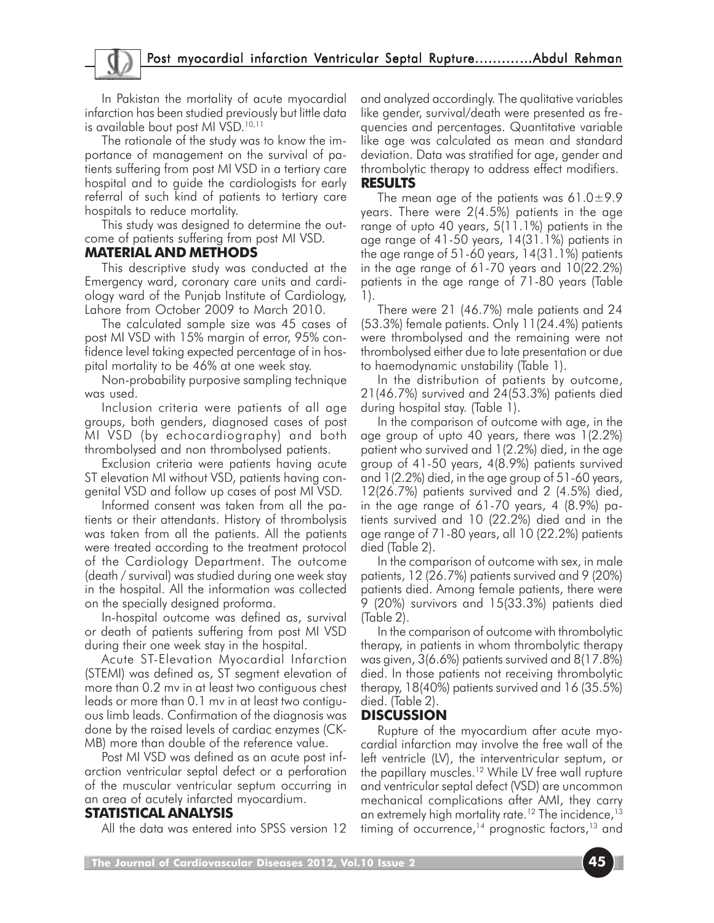# Post myocardial infarction Ventricular Septal Rupture..........…Abdul Rehman

In Pakistan the mortality of acute myocardial infarction has been studied previously but little data is available bout post MI VSD.<sup>10,11</sup>

The rationale of the study was to know the importance of management on the survival of patients suffering from post MI VSD in a tertiary care hospital and to guide the cardiologists for early referral of such kind of patients to tertiary care hospitals to reduce mortality.

This study was designed to determine the outcome of patients suffering from post MI VSD.

#### **MATERIAL AND METHODS**

This descriptive study was conducted at the Emergency ward, coronary care units and cardiology ward of the Punjab Institute of Cardiology, Lahore from October 2009 to March 2010.

The calculated sample size was 45 cases of post MI VSD with 15% margin of error, 95% confidence level taking expected percentage of in hospital mortality to be 46% at one week stay.

Non-probability purposive sampling technique was used.

Inclusion criteria were patients of all age groups, both genders, diagnosed cases of post MI VSD (by echocardiography) and both thrombolysed and non thrombolysed patients.

Exclusion criteria were patients having acute ST elevation MI without VSD, patients having congenital VSD and follow up cases of post MI VSD.

Informed consent was taken from all the patients or their attendants. History of thrombolysis was taken from all the patients. All the patients were treated according to the treatment protocol of the Cardiology Department. The outcome (death / survival) was studied during one week stay in the hospital. All the information was collected on the specially designed proforma.

In-hospital outcome was defined as, survival or death of patients suffering from post MI VSD during their one week stay in the hospital.

Acute ST-Elevation Myocardial Infarction (STEMI) was defined as, ST segment elevation of more than 0.2 mv in at least two contiguous chest leads or more than 0.1 mv in at least two contiguous limb leads. Confirmation of the diagnosis was done by the raised levels of cardiac enzymes (CK-MB) more than double of the reference value.

Post MI VSD was defined as an acute post infarction ventricular septal defect or a perforation of the muscular ventricular septum occurring in an area of acutely infarcted myocardium.

#### **STATISTICAL ANALYSIS**

All the data was entered into SPSS version 12

and analyzed accordingly. The qualitative variables like gender, survival/death were presented as frequencies and percentages. Quantitative variable like age was calculated as mean and standard deviation. Data was stratified for age, gender and thrombolytic therapy to address effect modifiers.

#### **RESULTS**

The mean age of the patients was 61.0 $\pm$ 9.9 years. There were 2(4.5%) patients in the age range of upto 40 years, 5(11.1%) patients in the age range of 41-50 years, 14(31.1%) patients in the age range of 51-60 years, 14(31.1%) patients in the age range of 61-70 years and 10(22.2%) patients in the age range of 71-80 years (Table 1).

There were 21 (46.7%) male patients and 24 (53.3%) female patients. Only 11(24.4%) patients were thrombolysed and the remaining were not thrombolysed either due to late presentation or due to haemodynamic unstability (Table 1).

In the distribution of patients by outcome, 21(46.7%) survived and 24(53.3%) patients died during hospital stay. (Table 1).

In the comparison of outcome with age, in the age group of upto 40 years, there was 1(2.2%) patient who survived and 1(2.2%) died, in the age group of 41-50 years, 4(8.9%) patients survived and 1(2.2%) died, in the age group of 51-60 years, 12(26.7%) patients survived and 2 (4.5%) died, in the age range of 61-70 years, 4 (8.9%) patients survived and 10 (22.2%) died and in the age range of 71-80 years, all 10 (22.2%) patients died (Table 2).

In the comparison of outcome with sex, in male patients, 12 (26.7%) patients survived and 9 (20%) patients died. Among female patients, there were 9 (20%) survivors and 15(33.3%) patients died (Table 2).

In the comparison of outcome with thrombolytic therapy, in patients in whom thrombolytic therapy was given, 3(6.6%) patients survived and 8(17.8%) died. In those patients not receiving thrombolytic therapy, 18(40%) patients survived and 16 (35.5%) died. (Table 2).

### **DISCUSSION**

Rupture of the myocardium after acute myocardial infarction may involve the free wall of the left ventricle (LV), the interventricular septum, or the papillary muscles.12 While LV free wall rupture and ventricular septal defect (VSD) are uncommon mechanical complications after AMI, they carry an extremely high mortality rate.<sup>12</sup> The incidence,<sup>13</sup> timing of occurrence, $14$  prognostic factors, $13$  and

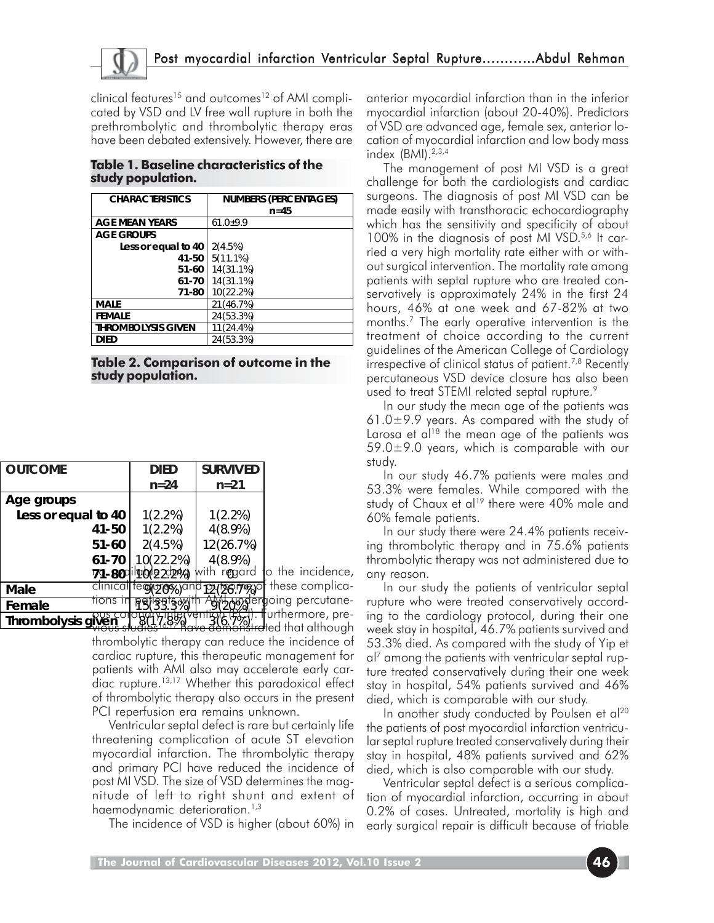

clinical features<sup>15</sup> and outcomes<sup>12</sup> of AMI complicated by VSD and LV free wall rupture in both the prethrombolytic and thrombolytic therapy eras have been debated extensively. However, there are

| <b>CHARACTERISTICS</b>    | <b>NUMBERS (PERCENTAGES)</b><br>$n=45$ |
|---------------------------|----------------------------------------|
| <b>AGE MEAN YEARS</b>     | $61.0 + 9.9$                           |
| <b>AGE GROUPS</b>         |                                        |
| Less or equal to 40       | 2(4.5%)                                |
| 41-50                     | 5(11.1%)                               |
| 51-60                     | 14(31.1%)                              |
| 61-70                     | 14(31.1%)                              |
| 71-80                     | 10(22.2%)                              |
| <b>MALE</b>               | 21 (46.7%)                             |
| <b>FEMALE</b>             | 24(53.3%)                              |
| <b>THROMBOLYSIS GIVEN</b> | 11(24.4%)                              |
| DIED                      | 24 (53.3%)                             |

#### **Table 1. Baseline characteristics of the study population.**

**Table 2. Comparison of outcome in the study population.**

| <b>OUTCOME</b>      | <b>DIED</b> |               | <b>SURVIVED</b>      |                                        |
|---------------------|-------------|---------------|----------------------|----------------------------------------|
|                     | $n = 24$    |               | $n = 21$             |                                        |
| Age groups          |             |               |                      |                                        |
| Less or equal to 40 | 1(2.2%)     |               | $1(2.2\%)$           |                                        |
| 41-50               | $1(2.2\%)$  |               | $4(8.9\%)$           |                                        |
| $51 - 60$           | 2(4.5%)     |               | 12(26.7%)            |                                        |
| 61-70               |             | 10(22.2%)     | $4(8.9\%)$           |                                        |
| 79-800              |             | lpddd 2 2d240 | with r <b>e</b> gard | to the incidence,                      |
| clinical<br>Male    | fectores,   |               | 12420.7%)            | these complica-                        |
| Female              |             |               |                      | <del>स्क्वर्वटा</del> going percutane- |
| Thrombolysis given  |             |               | h.Y                  | urthermore, pre-                       |
|                     |             |               |                      | <del>a</del> ted that although         |

thrombolytic therapy can reduce the incidence of cardiac rupture, this therapeutic management for patients with AMI also may accelerate early cardiac rupture.<sup>13,17</sup> Whether this paradoxical effect of thrombolytic therapy also occurs in the present PCI reperfusion era remains unknown.

Ventricular septal defect is rare but certainly life threatening complication of acute ST elevation myocardial infarction. The thrombolytic therapy and primary PCI have reduced the incidence of post MI VSD. The size of VSD determines the magnitude of left to right shunt and extent of haemodynamic deterioration.<sup>1,3</sup>

The incidence of VSD is higher (about 60%) in

anterior myocardial infarction than in the inferior myocardial infarction (about 20-40%). Predictors of VSD are advanced age, female sex, anterior location of myocardial infarction and low body mass index (BMI).2,3,4

The management of post MI VSD is a great challenge for both the cardiologists and cardiac surgeons. The diagnosis of post MI VSD can be made easily with transthoracic echocardiography which has the sensitivity and specificity of about 100% in the diagnosis of post MI VSD.<sup>5,6</sup> It carried a very high mortality rate either with or without surgical intervention. The mortality rate among patients with septal rupture who are treated conservatively is approximately 24% in the first 24 hours, 46% at one week and 67-82% at two months.7 The early operative intervention is the treatment of choice according to the current guidelines of the American College of Cardiology irrespective of clinical status of patient.<sup>7,8</sup> Recently percutaneous VSD device closure has also been used to treat STEMI related septal rupture.<sup>9</sup>

In our study the mean age of the patients was 61.0 $\pm$ 9.9 years. As compared with the study of Larosa et al<sup>18</sup> the mean age of the patients was  $59.0\pm9.0$  years, which is comparable with our study.

In our study 46.7% patients were males and 53.3% were females. While compared with the study of Chaux et al<sup>19</sup> there were 40% male and 60% female patients.

In our study there were 24.4% patients receiving thrombolytic therapy and in 75.6% patients thrombolytic therapy was not administered due to any reason.

In our study the patients of ventricular septal rupture who were treated conservatively according to the cardiology protocol, during their one week stay in hospital, 46.7% patients survived and 53.3% died. As compared with the study of Yip et al7 among the patients with ventricular septal rupture treated conservatively during their one week stay in hospital, 54% patients survived and 46% died, which is comparable with our study.

In another study conducted by Poulsen et al<sup>20</sup> the patients of post myocardial infarction ventricular septal rupture treated conservatively during their stay in hospital, 48% patients survived and 62% died, which is also comparable with our study.

Ventricular septal defect is a serious complication of myocardial infarction, occurring in about 0.2% of cases. Untreated, mortality is high and early surgical repair is difficult because of friable